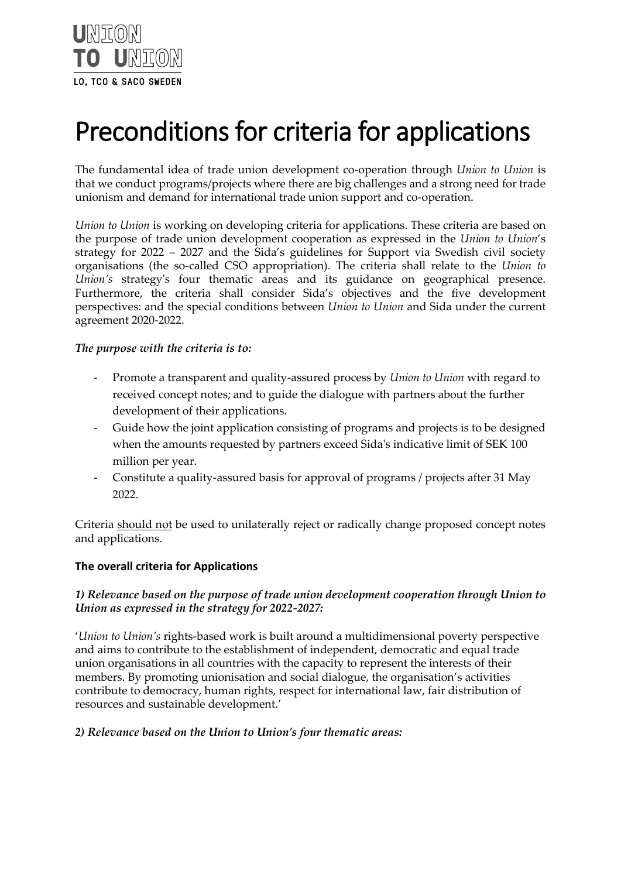

# Preconditions for criteria for applications

The fundamental idea of trade union development co-operation through *Union to Union* is that we conduct programs/projects where there are big challenges and a strong need for trade unionism and demand for international trade union support and co-operation.

*Union to Union* is working on developing criteria for applications. These criteria are based on the purpose of trade union development cooperation as expressed in the *Union to Union*'s strategy for 2022 – 2027 and the Sida's guidelines for Support via Swedish civil society organisations (the so-called CSO appropriation). The criteria shall relate to the *Union to Union's* strategy's four thematic areas and its guidance on geographical presence. Furthermore, the criteria shall consider Sida's objectives and the five development perspectives: and the special conditions between *Union to Union* and Sida under the current agreement 2020-2022.

## *The purpose with the criteria is to:*

- Promote a transparent and quality-assured process by *Union to Union* with regard to received concept notes; and to guide the dialogue with partners about the further development of their applications.
- Guide how the joint application consisting of programs and projects is to be designed when the amounts requested by partners exceed Sida's indicative limit of SEK 100 million per year.
- Constitute a quality-assured basis for approval of programs / projects after 31 May 2022.

Criteria should not be used to unilaterally reject or radically change proposed concept notes and applications.

# **The overall criteria for Applications**

## *1) Relevance based on the purpose of trade union development cooperation through Union to Union as expressed in the strategy for 2022-2027:*

'*Union to Union's* rights-based work is built around a multidimensional poverty perspective and aims to contribute to the establishment of independent, democratic and equal trade union organisations in all countries with the capacity to represent the interests of their members. By promoting unionisation and social dialogue, the organisation's activities contribute to democracy, human rights, respect for international law, fair distribution of resources and sustainable development.'

#### *2) Relevance based on the Union to Union's four thematic areas:*